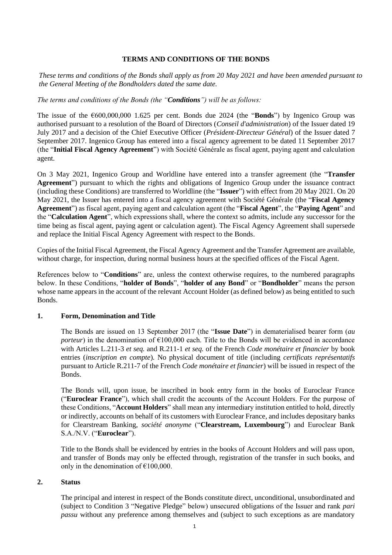## **TERMS AND CONDITIONS OF THE BONDS**

*These terms and conditions of the Bonds shall apply as from 20 May 2021 and have been amended pursuant to the General Meeting of the Bondholders dated the same date.*

# *The terms and conditions of the Bonds (the "Conditions") will be as follows:*

The issue of the €600,000,000 1.625 per cent. Bonds due 2024 (the "**Bonds**") by Ingenico Group was authorised pursuant to a resolution of the Board of Directors (*Conseil d'administration*) of the Issuer dated 19 July 2017 and a decision of the Chief Executive Officer (*Président-Directeur Général*) of the Issuer dated 7 September 2017. Ingenico Group has entered into a fiscal agency agreement to be dated 11 September 2017 (the "**Initial Fiscal Agency Agreement**") with Société Générale as fiscal agent, paying agent and calculation agent.

On 3 May 2021, Ingenico Group and Worldline have entered into a transfer agreement (the "**Transfer Agreement**") pursuant to which the rights and obligations of Ingenico Group under the issuance contract (including these Conditions) are transferred to Worldline (the "**Issuer**") with effect from 20 May 2021. On 20 May 2021, the Issuer has entered into a fiscal agency agreement with Société Générale (the "**Fiscal Agency Agreement**") as fiscal agent, paying agent and calculation agent (the "**Fiscal Agent**", the "**Paying Agent**" and the "**Calculation Agent**", which expressions shall, where the context so admits, include any successor for the time being as fiscal agent, paying agent or calculation agent). The Fiscal Agency Agreement shall supersede and replace the Initial Fiscal Agency Agreement with respect to the Bonds.

Copies of the Initial Fiscal Agreement, the Fiscal Agency Agreement and the Transfer Agreement are available, without charge, for inspection, during normal business hours at the specified offices of the Fiscal Agent.

References below to "**Conditions**" are, unless the context otherwise requires, to the numbered paragraphs below. In these Conditions, "**holder of Bonds**", "**holder of any Bond**" or "**Bondholder**" means the person whose name appears in the account of the relevant Account Holder (as defined below) as being entitled to such Bonds.

### **1. Form, Denomination and Title**

The Bonds are issued on 13 September 2017 (the "**Issue Date**") in dematerialised bearer form (*au porteur*) in the denomination of  $\epsilon$ 100,000 each. Title to the Bonds will be evidenced in accordance with Articles L.211-3 *et seq.* and R.211-1 *et seq.* of the French *Code monétaire et financier* by book entries (*inscription en compte*). No physical document of title (including *certificats représentatifs*  pursuant to Article R.211-7 of the French *Code monétaire et financier*) will be issued in respect of the Bonds.

The Bonds will, upon issue, be inscribed in book entry form in the books of Euroclear France ("**Euroclear France**"), which shall credit the accounts of the Account Holders. For the purpose of these Conditions, "**Account Holders**" shall mean any intermediary institution entitled to hold, directly or indirectly, accounts on behalf of its customers with Euroclear France, and includes depositary banks for Clearstream Banking, *société anonyme* ("**Clearstream, Luxembourg**") and Euroclear Bank S.A./N.V. ("**Euroclear**").

Title to the Bonds shall be evidenced by entries in the books of Account Holders and will pass upon, and transfer of Bonds may only be effected through, registration of the transfer in such books, and only in the denomination of  $£100,000$ .

### **2. Status**

The principal and interest in respect of the Bonds constitute direct, unconditional, unsubordinated and (subject to Condition 3 "Negative Pledge" below) unsecured obligations of the Issuer and rank *pari passu* without any preference among themselves and (subject to such exceptions as are mandatory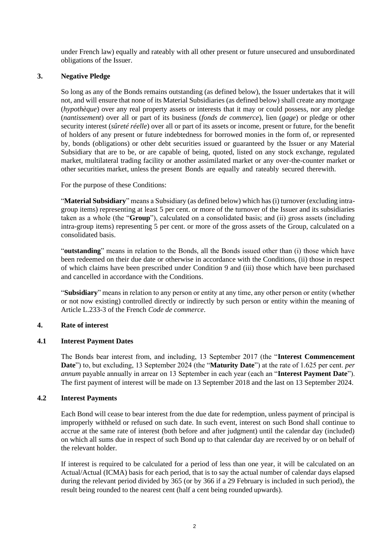under French law) equally and rateably with all other present or future unsecured and unsubordinated obligations of the Issuer.

# **3. Negative Pledge**

So long as any of the Bonds remains outstanding (as defined below), the Issuer undertakes that it will not, and will ensure that none of its Material Subsidiaries (as defined below) shall create any mortgage (*hypothèque*) over any real property assets or interests that it may or could possess, nor any pledge (*nantissement*) over all or part of its business (*fonds de commerce*), lien (*gage*) or pledge or other security interest (*sûreté réelle*) over all or part of its assets or income, present or future, for the benefit of holders of any present or future indebtedness for borrowed monies in the form of, or represented by, bonds (obligations) or other debt securities issued or guaranteed by the Issuer or any Material Subsidiary that are to be, or are capable of being, quoted, listed on any stock exchange, regulated market, multilateral trading facility or another assimilated market or any over-the-counter market or other securities market, unless the present Bonds are equally and rateably secured therewith.

For the purpose of these Conditions:

"**Material Subsidiary**" means a Subsidiary (as defined below) which has (i) turnover (excluding intragroup items) representing at least 5 per cent. or more of the turnover of the Issuer and its subsidiaries taken as a whole (the "**Group**"), calculated on a consolidated basis; and (ii) gross assets (including intra-group items) representing 5 per cent. or more of the gross assets of the Group, calculated on a consolidated basis.

"**outstanding**" means in relation to the Bonds, all the Bonds issued other than (i) those which have been redeemed on their due date or otherwise in accordance with the Conditions, (ii) those in respect of which claims have been prescribed under Condition [9 a](#page-8-0)nd (iii) those which have been purchased and cancelled in accordance with the Conditions.

"**Subsidiary**" means in relation to any person or entity at any time, any other person or entity (whether or not now existing) controlled directly or indirectly by such person or entity within the meaning of Article L.233-3 of the French *Code de commerce*.

### **4. Rate of interest**

# **4.1 Interest Payment Dates**

The Bonds bear interest from, and including, 13 September 2017 (the "**Interest Commencement Date**") to, but excluding, 13 September 2024 (the "**Maturity Date**") at the rate of 1.625 per cent. *per annum* payable annually in arrear on 13 September in each year (each an "**Interest Payment Date**"). The first payment of interest will be made on 13 September 2018 and the last on 13 September 2024.

# **4.2 Interest Payments**

Each Bond will cease to bear interest from the due date for redemption, unless payment of principal is improperly withheld or refused on such date. In such event, interest on such Bond shall continue to accrue at the same rate of interest (both before and after judgment) until the calendar day (included) on which all sums due in respect of such Bond up to that calendar day are received by or on behalf of the relevant holder.

If interest is required to be calculated for a period of less than one year, it will be calculated on an Actual/Actual (ICMA) basis for each period, that is to say the actual number of calendar days elapsed during the relevant period divided by 365 (or by 366 if a 29 February is included in such period), the result being rounded to the nearest cent (half a cent being rounded upwards).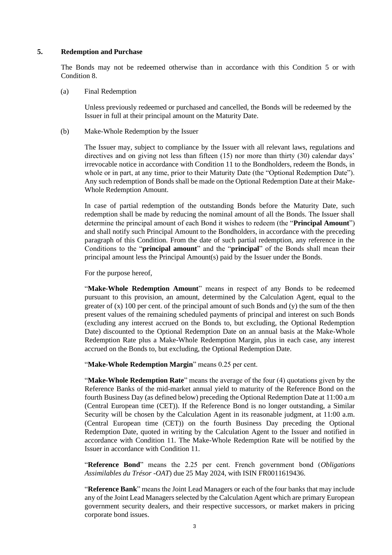#### <span id="page-2-0"></span>**5. Redemption and Purchase**

The Bonds may not be redeemed otherwise than in accordance with this Condition [5](#page-2-0) or with Condition [8.](#page-7-0)

#### (a) Final Redemption

Unless previously redeemed or purchased and cancelled, the Bonds will be redeemed by the Issuer in full at their principal amount on the Maturity Date.

(b) Make-Whole Redemption by the Issuer

The Issuer may, subject to compliance by the Issuer with all relevant laws, regulations and directives and on giving not less than fifteen (15) nor more than thirty (30) calendar days' irrevocable notice in accordance with Condition 11 to the Bondholders, redeem the Bonds, in whole or in part, at any time, prior to their Maturity Date (the "Optional Redemption Date"). Any such redemption of Bonds shall be made on the Optional Redemption Date at their Make-Whole Redemption Amount.

In case of partial redemption of the outstanding Bonds before the Maturity Date, such redemption shall be made by reducing the nominal amount of all the Bonds. The Issuer shall determine the principal amount of each Bond it wishes to redeem (the "**Principal Amount**") and shall notify such Principal Amount to the Bondholders, in accordance with the preceding paragraph of this Condition. From the date of such partial redemption, any reference in the Conditions to the "**principal amount**" and the "**principal**" of the Bonds shall mean their principal amount less the Principal Amount(s) paid by the Issuer under the Bonds.

For the purpose hereof,

"Make-Whole Redemption Amount" means in respect of any Bonds to be redeemed pursuant to this provision, an amount, determined by the Calculation Agent, equal to the greater of (x) 100 per cent. of the principal amount of such Bonds and (y) the sum of the then present values of the remaining scheduled payments of principal and interest on such Bonds (excluding any interest accrued on the Bonds to, but excluding, the Optional Redemption Date) discounted to the Optional Redemption Date on an annual basis at the Make-Whole Redemption Rate plus a Make-Whole Redemption Margin, plus in each case, any interest accrued on the Bonds to, but excluding, the Optional Redemption Date.

"**Make-Whole Redemption Margin**" means 0.25 per cent.

"**Make-Whole Redemption Rate**" means the average of the four (4) quotations given by the Reference Banks of the mid-market annual yield to maturity of the Reference Bond on the fourth Business Day (as defined below) preceding the Optional Redemption Date at 11:00 a.m (Central European time (CET)). If the Reference Bond is no longer outstanding, a Similar Security will be chosen by the Calculation Agent in its reasonable judgment, at 11:00 a.m. (Central European time (CET)) on the fourth Business Day preceding the Optional Redemption Date, quoted in writing by the Calculation Agent to the Issuer and notified in accordance with Condition 11. The Make-Whole Redemption Rate will be notified by the Issuer in accordance with Condition 11.

"**Reference Bond**" means the 2.25 per cent. French government bond (*Obligations Assimilables du Trésor -OAT*) due 25 May 2024, with ISIN FR0011619436.

"**Reference Bank**" means the Joint Lead Managers or each of the four banks that may include any of the Joint Lead Managers selected by the Calculation Agent which are primary European government security dealers, and their respective successors, or market makers in pricing corporate bond issues.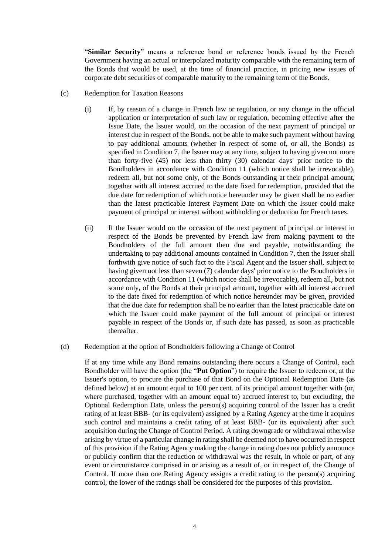"**Similar Security**" means a reference bond or reference bonds issued by the French Government having an actual or interpolated maturity comparable with the remaining term of the Bonds that would be used, at the time of financial practice, in pricing new issues of corporate debt securities of comparable maturity to the remaining term of the Bonds.

- (c) Redemption for Taxation Reasons
	- (i) If, by reason of a change in French law or regulation, or any change in the official application or interpretation of such law or regulation, becoming effective after the Issue Date, the Issuer would, on the occasion of the next payment of principal or interest due in respect of the Bonds, not be able to make such payment without having to pay additional amounts (whether in respect of some of, or all, the Bonds) as specified in Conditio[n 7, t](#page-7-1)he Issuer may at any time, subject to having given not more than forty-five (45) nor less than thirty (30) calendar days' prior notice to the Bondholders in accordance with Condition [11 \(](#page-11-0)which notice shall be irrevocable), redeem all, but not some only, of the Bonds outstanding at their principal amount, together with all interest accrued to the date fixed for redemption, provided that the due date for redemption of which notice hereunder may be given shall be no earlier than the latest practicable Interest Payment Date on which the Issuer could make payment of principal or interest without withholding or deduction for French taxes.
	- (ii) If the Issuer would on the occasion of the next payment of principal or interest in respect of the Bonds be prevented by French law from making payment to the Bondholders of the full amount then due and payable, notwithstanding the undertaking to pay additional amounts contained in Condition [7,](#page-7-1) then the Issuer shall forthwith give notice of such fact to the Fiscal Agent and the Issuer shall, subject to having given not less than seven (7) calendar days' prior notice to the Bondholders in accordance with Conditio[n 11 \(](#page-11-0)which notice shall be irrevocable), redeem all, but not some only, of the Bonds at their principal amount, together with all interest accrued to the date fixed for redemption of which notice hereunder may be given, provided that the due date for redemption shall be no earlier than the latest practicable date on which the Issuer could make payment of the full amount of principal or interest payable in respect of the Bonds or, if such date has passed, as soon as practicable thereafter.
- <span id="page-3-0"></span>(d) Redemption at the option of Bondholders following a Change of Control

If at any time while any Bond remains outstanding there occurs a Change of Control, each Bondholder will have the option (the "**Put Option**") to require the Issuer to redeem or, at the Issuer's option, to procure the purchase of that Bond on the Optional Redemption Date (as defined below) at an amount equal to 100 per cent. of its principal amount together with (or, where purchased, together with an amount equal to) accrued interest to, but excluding, the Optional Redemption Date, unless the person(s) acquiring control of the Issuer has a credit rating of at least BBB- (or its equivalent) assigned by a Rating Agency at the time it acquires such control and maintains a credit rating of at least BBB- (or its equivalent) after such acquisition during the Change of Control Period. A rating downgrade or withdrawal otherwise arising by virtue of a particular change in rating shall be deemed not to have occurred in respect of this provision if the Rating Agency making the change in rating does not publicly announce or publicly confirm that the reduction or withdrawal was the result, in whole or part, of any event or circumstance comprised in or arising as a result of, or in respect of, the Change of Control. If more than one Rating Agency assigns a credit rating to the person(s) acquiring control, the lower of the ratings shall be considered for the purposes of this provision.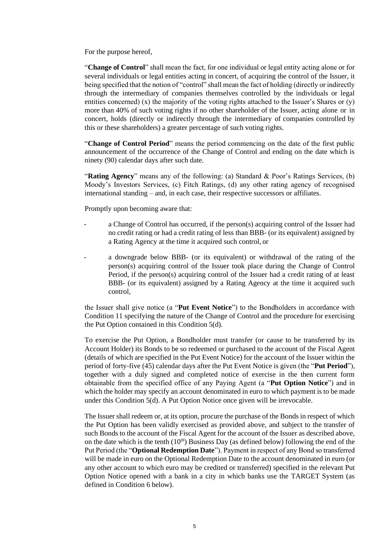For the purpose hereof,

"**Change of Control**" shall mean the fact, for one individual or legal entity acting alone or for several individuals or legal entities acting in concert, of acquiring the control of the Issuer, it being specified that the notion of "control" shall mean the fact of holding (directly or indirectly through the intermediary of companies themselves controlled by the individuals or legal entities concerned) (x) the majority of the voting rights attached to the Issuer's Shares or  $(y)$ more than 40% of such voting rights if no other shareholder of the Issuer, acting alone or in concert, holds (directly or indirectly through the intermediary of companies controlled by this or these shareholders) a greater percentage of such voting rights.

"**Change of Control Period**" means the period commencing on the date of the first public announcement of the occurrence of the Change of Control and ending on the date which is ninety (90) calendar days after such date.

"**Rating Agency**" means any of the following: (a) Standard & Poor's Ratings Services, (b) Moody's Investors Services, (c) Fitch Ratings, (d) any other rating agency of recognised international standing – and, in each case, their respective successors or affiliates.

Promptly upon becoming aware that:

- a Change of Control has occurred, if the person(s) acquiring control of the Issuer had no credit rating or had a credit rating of less than BBB- (or its equivalent) assigned by a Rating Agency at the time it acquired such control, or
- a downgrade below BBB- (or its equivalent) or withdrawal of the rating of the person(s) acquiring control of the Issuer took place during the Change of Control Period, if the person(s) acquiring control of the Issuer had a credit rating of at least BBB- (or its equivalent) assigned by a Rating Agency at the time it acquired such control,

the Issuer shall give notice (a "**Put Event Notice**") to the Bondholders in accordance with Condition 11 specifying the nature of the Change of Control and the procedure for exercising the Put Option contained in this Condition 5(d).

To exercise the Put Option, a Bondholder must transfer (or cause to be transferred by its Account Holder) its Bonds to be so redeemed or purchased to the account of the Fiscal Agent (details of which are specified in the Put Event Notice) for the account of the Issuer within the period of forty-five (45) calendar days after the Put Event Notice is given (the "**Put Period**"), together with a duly signed and completed notice of exercise in the then current form obtainable from the specified office of any Paying Agent (a "**Put Option Notice**") and in which the holder may specify an account denominated in euro to which payment is to be made under this Condition [5\(d\). A](#page-3-0) Put Option Notice once given will be irrevocable.

The Issuer shall redeem or, at its option, procure the purchase of the Bonds in respect of which the Put Option has been validly exercised as provided above, and subject to the transfer of such Bonds to the account of the Fiscal Agent for the account of the Issuer as described above, on the date which is the tenth  $(10<sup>th</sup>)$  Business Day (as defined below) following the end of the Put Period (the "**Optional Redemption Date**"). Payment in respect of any Bond so transferred will be made in euro on the Optional Redemption Date to the account denominated in euro (or any other account to which euro may be credited or transferred) specified in the relevant Put Option Notice opened with a bank in a city in which banks use the TARGET System (as defined in Condition 6 below).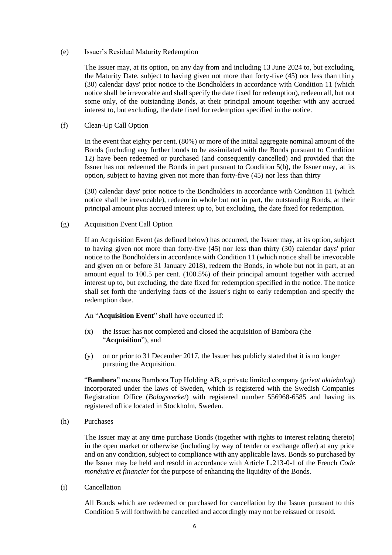(e) Issuer's Residual Maturity Redemption

The Issuer may, at its option, on any day from and including 13 June 2024 to, but excluding, the Maturity Date, subject to having given not more than forty-five (45) nor less than thirty (30) calendar days' prior notice to the Bondholders in accordance with Condition 11 (which notice shall be irrevocable and shall specify the date fixed for redemption), redeem all, but not some only, of the outstanding Bonds, at their principal amount together with any accrued interest to, but excluding, the date fixed for redemption specified in the notice.

(f) Clean-Up Call Option

In the event that eighty per cent. (80%) or more of the initial aggregate nominal amount of the Bonds (including any further bonds to be assimilated with the Bonds pursuant to Condition 12) have been redeemed or purchased (and consequently cancelled) and provided that the Issuer has not redeemed the Bonds in part pursuant to Condition 5(b), the Issuer may, at its option, subject to having given not more than forty-five (45) nor less than thirty

(30) calendar days' prior notice to the Bondholders in accordance with Condition 11 (which notice shall be irrevocable), redeem in whole but not in part, the outstanding Bonds, at their principal amount plus accrued interest up to, but excluding, the date fixed for redemption.

(g) Acquisition Event Call Option

If an Acquisition Event (as defined below) has occurred, the Issuer may, at its option, subject to having given not more than forty-five (45) nor less than thirty (30) calendar days' prior notice to the Bondholders in accordance with Condition 11 (which notice shall be irrevocable and given on or before 31 January 2018), redeem the Bonds, in whole but not in part, at an amount equal to 100.5 per cent. (100.5%) of their principal amount together with accrued interest up to, but excluding, the date fixed for redemption specified in the notice. The notice shall set forth the underlying facts of the Issuer's right to early redemption and specify the redemption date.

An "**Acquisition Event**" shall have occurred if:

- (x) the Issuer has not completed and closed the acquisition of Bambora (the "**Acquisition**"), and
- (y) on or prior to 31 December 2017, the Issuer has publicly stated that it is no longer pursuing the Acquisition.

"**Bambora**" means Bambora Top Holding AB, a private limited company (*privat aktiebolag*) incorporated under the laws of Sweden, which is registered with the Swedish Companies Registration Office (*Bolagsverket*) with registered number 556968-6585 and having its registered office located in Stockholm, Sweden.

(h) Purchases

The Issuer may at any time purchase Bonds (together with rights to interest relating thereto) in the open market or otherwise (including by way of tender or exchange offer) at any price and on any condition, subject to compliance with any applicable laws. Bonds so purchased by the Issuer may be held and resold in accordance with Article L.213-0-1 of the French *Code monétaire et financier* for the purpose of enhancing the liquidity of the Bonds.

(i) Cancellation

All Bonds which are redeemed or purchased for cancellation by the Issuer pursuant to this Condition [5 w](#page-2-0)ill forthwith be cancelled and accordingly may not be reissued or resold.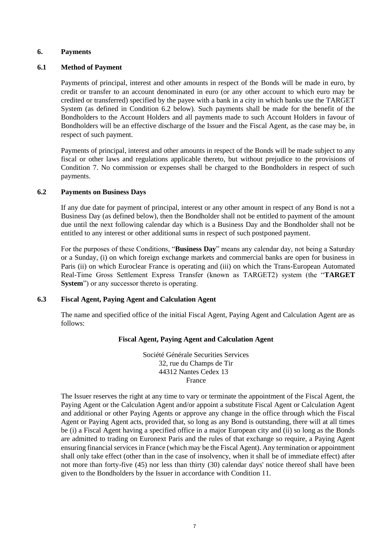### **6. Payments**

### **6.1 Method of Payment**

Payments of principal, interest and other amounts in respect of the Bonds will be made in euro, by credit or transfer to an account denominated in euro (or any other account to which euro may be credited or transferred) specified by the payee with a bank in a city in which banks use the TARGET System (as defined in Condition 6.2 below). Such payments shall be made for the benefit of the Bondholders to the Account Holders and all payments made to such Account Holders in favour of Bondholders will be an effective discharge of the Issuer and the Fiscal Agent, as the case may be, in respect of such payment.

Payments of principal, interest and other amounts in respect of the Bonds will be made subject to any fiscal or other laws and regulations applicable thereto, but without prejudice to the provisions of Condition [7.](#page-7-1) No commission or expenses shall be charged to the Bondholders in respect of such payments.

### **6.2 Payments on Business Days**

If any due date for payment of principal, interest or any other amount in respect of any Bond is not a Business Day (as defined below), then the Bondholder shall not be entitled to payment of the amount due until the next following calendar day which is a Business Day and the Bondholder shall not be entitled to any interest or other additional sums in respect of such postponed payment.

For the purposes of these Conditions, "**Business Day**" means any calendar day, not being a Saturday or a Sunday, (i) on which foreign exchange markets and commercial banks are open for business in Paris (ii) on which Euroclear France is operating and (iii) on which the Trans-European Automated Real-Time Gross Settlement Express Transfer (known as TARGET2) system (the "**TARGET System**") or any successor thereto is operating.

### **6.3 Fiscal Agent, Paying Agent and Calculation Agent**

The name and specified office of the initial Fiscal Agent, Paying Agent and Calculation Agent are as follows:

# **Fiscal Agent, Paying Agent and Calculation Agent**

Société Générale Securities Services 32, rue du Champs de Tir 44312 Nantes Cedex 13 France

The Issuer reserves the right at any time to vary or terminate the appointment of the Fiscal Agent, the Paying Agent or the Calculation Agent and/or appoint a substitute Fiscal Agent or Calculation Agent and additional or other Paying Agents or approve any change in the office through which the Fiscal Agent or Paying Agent acts, provided that, so long as any Bond is outstanding, there will at all times be (i) a Fiscal Agent having a specified office in a major European city and (ii) so long as the Bonds are admitted to trading on Euronext Paris and the rules of that exchange so require, a Paying Agent ensuring financial services in France (which may be the Fiscal Agent). Any termination or appointment shall only take effect (other than in the case of insolvency, when it shall be of immediate effect) after not more than forty-five (45) nor less than thirty (30) calendar days' notice thereof shall have been given to the Bondholders by the Issuer in accordance with Condition 11.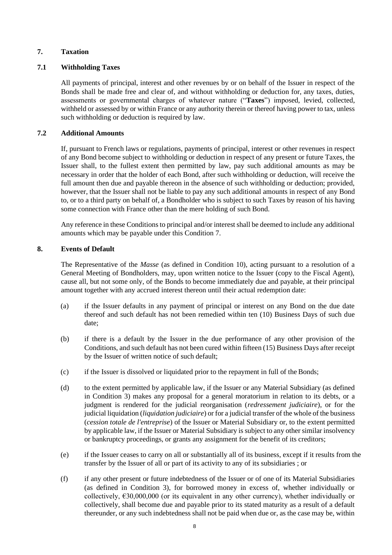# <span id="page-7-1"></span>**7. Taxation**

# **7.1 Withholding Taxes**

All payments of principal, interest and other revenues by or on behalf of the Issuer in respect of the Bonds shall be made free and clear of, and without withholding or deduction for, any taxes, duties, assessments or governmental charges of whatever nature ("**Taxes**") imposed, levied, collected, withheld or assessed by or within France or any authority therein or thereof having power to tax, unless such withholding or deduction is required by law.

# **7.2 Additional Amounts**

If, pursuant to French laws or regulations, payments of principal, interest or other revenues in respect of any Bond become subject to withholding or deduction in respect of any present or future Taxes, the Issuer shall, to the fullest extent then permitted by law, pay such additional amounts as may be necessary in order that the holder of each Bond, after such withholding or deduction, will receive the full amount then due and payable thereon in the absence of such withholding or deduction; provided, however, that the Issuer shall not be liable to pay any such additional amounts in respect of any Bond to, or to a third party on behalf of, a Bondholder who is subject to such Taxes by reason of his having some connection with France other than the mere holding of such Bond.

Any reference in these Conditions to principal and/or interest shall be deemed to include any additional amounts which may be payable under this Condition [7.](#page-7-1)

# <span id="page-7-0"></span>**8. Events of Default**

The Representative of the *Masse* (as defined in Condition 10), acting pursuant to a resolution of a General Meeting of Bondholders, may, upon written notice to the Issuer (copy to the Fiscal Agent), cause all, but not some only, of the Bonds to become immediately due and payable, at their principal amount together with any accrued interest thereon until their actual redemption date:

- (a) if the Issuer defaults in any payment of principal or interest on any Bond on the due date thereof and such default has not been remedied within ten (10) Business Days of such due date;
- (b) if there is a default by the Issuer in the due performance of any other provision of the Conditions, and such default has not been cured within fifteen (15) Business Days after receipt by the Issuer of written notice of such default;
- (c) if the Issuer is dissolved or liquidated prior to the repayment in full of the Bonds;
- (d) to the extent permitted by applicable law, if the Issuer or any Material Subsidiary (as defined in Condition 3) makes any proposal for a general moratorium in relation to its debts, or a judgment is rendered for the judicial reorganisation (*redressement judiciaire*), or for the judicial liquidation (*liquidation judiciaire*) or for a judicial transfer of the whole of the business (*cession totale de l'entreprise*) of the Issuer or Material Subsidiary or, to the extent permitted by applicable law, if the Issuer or Material Subsidiary is subject to any other similar insolvency or bankruptcy proceedings, or grants any assignment for the benefit of its creditors;
- (e) if the Issuer ceases to carry on all or substantially all of its business, except if it results from the transfer by the Issuer of all or part of its activity to any of its subsidiaries ; or
- (f) if any other present or future indebtedness of the Issuer or of one of its Material Subsidiaries (as defined in Condition 3), for borrowed money in excess of, whether individually or collectively, €30,000,000 (or its equivalent in any other currency), whether individually or collectively, shall become due and payable prior to its stated maturity as a result of a default thereunder, or any such indebtedness shall not be paid when due or, as the case may be, within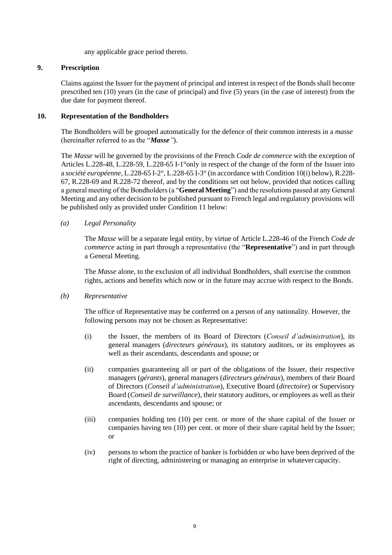any applicable grace period thereto.

# <span id="page-8-0"></span>**9. Prescription**

Claims against the Issuer for the payment of principal and interest in respect of the Bonds shall become prescribed ten (10) years (in the case of principal) and five (5) years (in the case of interest) from the due date for payment thereof.

# **10. Representation of the Bondholders**

The Bondholders will be grouped automatically for the defence of their common interests in a *masse* (hereinafter referred to as the "*Masse"*).

The *Masse* will be governed by the provisions of the French *Code de commerce* with the exception of Articles L.228-48, L.228-59, L.228-65 I-1°only in respect of the change of the form of the Issuer into a *société européenne*, L.228-65 I-2°, L.228-65 I-3° (in accordance with Condition 10(i) below), R.228- 67, R.228-69 and R.228-72 thereof, and by the conditions set out below, provided that notices calling a general meeting of the Bondholders (a "**General Meeting**") and the resolutions passed at any General Meeting and any other decision to be published pursuant to French legal and regulatory provisions will be published only as provided under Condition 11 below:

# *(a) Legal Personality*

The *Masse* will be a separate legal entity, by virtue of Article L.228-46 of the French *Code de commerce* acting in part through a representative (the "**Representative**") and in part through a General Meeting.

The *Masse* alone, to the exclusion of all individual Bondholders, shall exercise the common rights, actions and benefits which now or in the future may accrue with respect to the Bonds.

# *(b) Representative*

The office of Representative may be conferred on a person of any nationality. However, the following persons may not be chosen as Representative:

- (i) the Issuer, the members of its Board of Directors (*Conseil d'administration*), its general managers (*directeurs généraux*), its statutory auditors, or its employees as well as their ascendants, descendants and spouse; or
- (ii) companies guaranteeing all or part of the obligations of the Issuer, their respective managers (*gérants*), general managers (*directeurs généraux*), members of their Board of Directors (*Conseil d'administration*), Executive Board (*directoire*) or Supervisory Board (*Conseil de surveillance*), their statutory auditors, or employees as well as their ascendants, descendants and spouse; or
- (iii) companies holding ten (10) per cent. or more of the share capital of the Issuer or companies having ten (10) per cent. or more of their share capital held by the Issuer; or
- (iv) persons to whom the practice of banker is forbidden or who have been deprived of the right of directing, administering or managing an enterprise in whatevercapacity.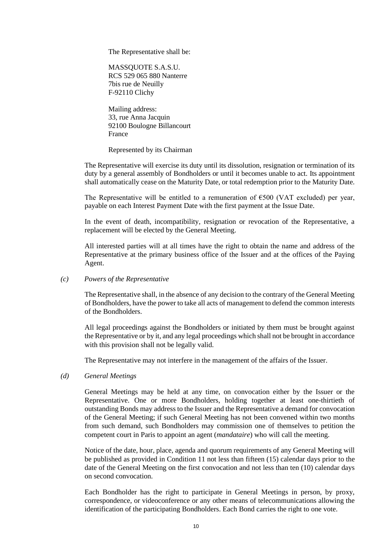The Representative shall be:

MASSQUOTE S.A.S.U. RCS 529 065 880 Nanterre 7bis rue de Neuilly F-92110 Clichy

Mailing address: 33, rue Anna Jacquin 92100 Boulogne Billancourt France

Represented by its Chairman

The Representative will exercise its duty until its dissolution, resignation or termination of its duty by a general assembly of Bondholders or until it becomes unable to act. Its appointment shall automatically cease on the Maturity Date, or total redemption prior to the Maturity Date.

The Representative will be entitled to a remuneration of  $\epsilon$ 500 (VAT excluded) per year, payable on each Interest Payment Date with the first payment at the Issue Date.

In the event of death, incompatibility, resignation or revocation of the Representative, a replacement will be elected by the General Meeting.

All interested parties will at all times have the right to obtain the name and address of the Representative at the primary business office of the Issuer and at the offices of the Paying Agent.

#### *(c) Powers of the Representative*

The Representative shall, in the absence of any decision to the contrary of the General Meeting of Bondholders, have the power to take all acts of management to defend the common interests of the Bondholders.

All legal proceedings against the Bondholders or initiated by them must be brought against the Representative or by it, and any legal proceedings which shall not be brought in accordance with this provision shall not be legally valid.

The Representative may not interfere in the management of the affairs of the Issuer.

### *(d) General Meetings*

General Meetings may be held at any time, on convocation either by the Issuer or the Representative. One or more Bondholders, holding together at least one-thirtieth of outstanding Bonds may address to the Issuer and the Representative a demand for convocation of the General Meeting; if such General Meeting has not been convened within two months from such demand, such Bondholders may commission one of themselves to petition the competent court in Paris to appoint an agent (*mandataire*) who will call the meeting.

Notice of the date, hour, place, agenda and quorum requirements of any General Meeting will be published as provided in Condition 11 not less than fifteen (15) calendar days prior to the date of the General Meeting on the first convocation and not less than ten (10) calendar days on second convocation.

Each Bondholder has the right to participate in General Meetings in person, by proxy, correspondence, or videoconference or any other means of telecommunications allowing the identification of the participating Bondholders. Each Bond carries the right to one vote.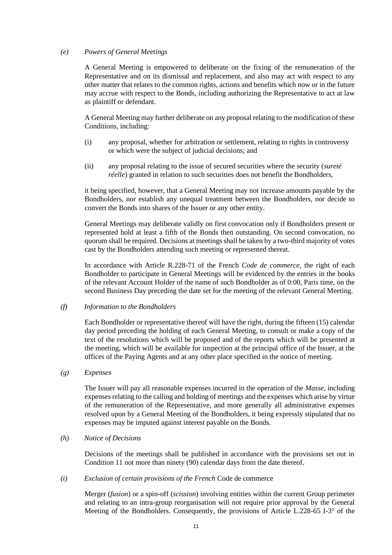### *(e) Powers of General Meetings*

A General Meeting is empowered to deliberate on the fixing of the remuneration of the Representative and on its dismissal and replacement, and also may act with respect to any other matter that relates to the common rights, actions and benefits which now or in the future may accrue with respect to the Bonds, including authorizing the Representative to act at law as plaintiff or defendant.

A General Meeting may further deliberate on any proposal relating to the modification of these Conditions, including:

- (i) any proposal, whether for arbitration or settlement, relating to rights in controversy or which were the subject of judicial decisions; and
- (ii) any proposal relating to the issue of secured securities where the security (*sureté réelle*) granted in relation to such securities does not benefit the Bondholders,

it being specified, however, that a General Meeting may not increase amounts payable by the Bondholders, nor establish any unequal treatment between the Bondholders, nor decide to convert the Bonds into shares of the Issuer or any other entity.

General Meetings may deliberate validly on first convocation only if Bondholders present or represented hold at least a fifth of the Bonds then outstanding. On second convocation, no quorum shall be required. Decisions at meetings shall be taken by a two-third majority of votes cast by the Bondholders attending such meeting or represented thereat.

In accordance with Article R.228-71 of the French *Code de commerce*, the right of each Bondholder to participate in General Meetings will be evidenced by the entries in the books of the relevant Account Holder of the name of such Bondholder as of 0:00, Paris time, on the second Business Day preceding the date set for the meeting of the relevant General Meeting.

### *(f) Information to the Bondholders*

Each Bondholder or representative thereof will have the right, during the fifteen (15) calendar day period preceding the holding of each General Meeting, to consult or make a copy of the text of the resolutions which will be proposed and of the reports which will be presented at the meeting, which will be available for inspection at the principal office of the Issuer, at the offices of the Paying Agents and at any other place specified in the notice of meeting.

### *(g) Expenses*

The Issuer will pay all reasonable expenses incurred in the operation of the *Masse*, including expenses relating to the calling and holding of meetings and the expenses which arise by virtue of the remuneration of the Representative, and more generally all administrative expenses resolved upon by a General Meeting of the Bondholders, it being expressly stipulated that no expenses may be imputed against interest payable on the Bonds.

### *(h) Notice of Decisions*

Decisions of the meetings shall be published in accordance with the provisions set out in Condition 11 not more than ninety (90) calendar days from the date thereof.

### *(i) Exclusion of certain provisions of the French* Code de commerce

Merger (*fusion*) or a spin-off (*scission*) involving entities within the current Group perimeter and relating to an intra-group reorganisation will not require prior approval by the General Meeting of the Bondholders. Consequently, the provisions of Article L.228-65 I-3° of the